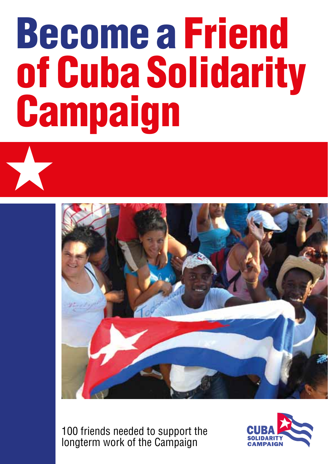## Become a Friend of Cuba Solidarity **Campaign**



100 friends needed to support the longterm work of the Campaign

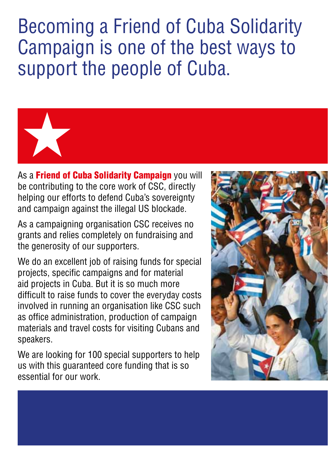Becoming a Friend of Cuba Solidarity Campaign is one of the best ways to support the people of Cuba.



As a **Friend of Cuba Solidarity Campaign** you will be contributing to the core work of CSC, directly helping our efforts to defend Cuba's sovereignty and campaign against the illegal US blockade.

As a campaigning organisation CSC receives no grants and relies completely on fundraising and the generosity of our supporters.

We do an excellent job of raising funds for special projects, specific campaigns and for material aid projects in Cuba. But it is so much more difficult to raise funds to cover the everyday costs involved in running an organisation like CSC such as office administration, production of campaign materials and travel costs for visiting Cubans and speakers.

We are looking for 100 special supporters to help us with this guaranteed core funding that is so essential for our work.

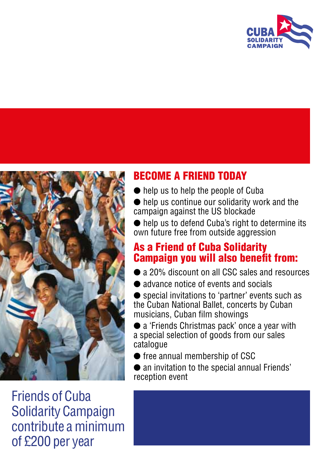



Friends of Cuba Solidarity Campaign contribute a minimum of £200 per year

## BECOME A FRIEND TODAY

- $\bullet$  help us to help the people of Cuba
- $\bullet$  help us continue our solidarity work and the campaign against the US blockade
- help us to defend Cuba's right to determine its own future free from outside aggression

## As a Friend of Cuba Solidarity Campaign you will also benefit from:

- a 20% discount on all CSC sales and resources
- l advance notice of events and socials
- special invitations to 'partner' events such as the Cuban National Ballet, concerts by Cuban musicians, Cuban film showings
- a 'Friends Christmas pack' once a year with a special selection of goods from our sales catalogue
- free annual membership of CSC
- $\bullet$  an invitation to the special annual Friends' reception event